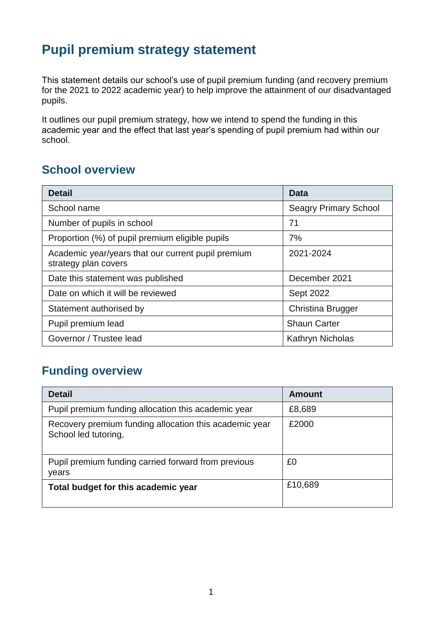## **Pupil premium strategy statement**

This statement details our school's use of pupil premium funding (and recovery premium for the 2021 to 2022 academic year) to help improve the attainment of our disadvantaged pupils.

It outlines our pupil premium strategy, how we intend to spend the funding in this academic year and the effect that last year's spending of pupil premium had within our school.

#### **School overview**

| <b>Detail</b>                                                              | Data                         |
|----------------------------------------------------------------------------|------------------------------|
| School name                                                                | <b>Seagry Primary School</b> |
| Number of pupils in school                                                 | 71                           |
| Proportion (%) of pupil premium eligible pupils                            | 7%                           |
| Academic year/years that our current pupil premium<br>strategy plan covers | 2021-2024                    |
| Date this statement was published                                          | December 2021                |
| Date on which it will be reviewed                                          | <b>Sept 2022</b>             |
| Statement authorised by                                                    | Christina Brugger            |
| Pupil premium lead                                                         | <b>Shaun Carter</b>          |
| Governor / Trustee lead                                                    | Kathryn Nicholas             |

### **Funding overview**

| <b>Detail</b>                                                                  | <b>Amount</b> |
|--------------------------------------------------------------------------------|---------------|
| Pupil premium funding allocation this academic year                            | £8,689        |
| Recovery premium funding allocation this academic year<br>School led tutoring, | £2000         |
| Pupil premium funding carried forward from previous<br>years                   | £0            |
| Total budget for this academic year                                            | £10,689       |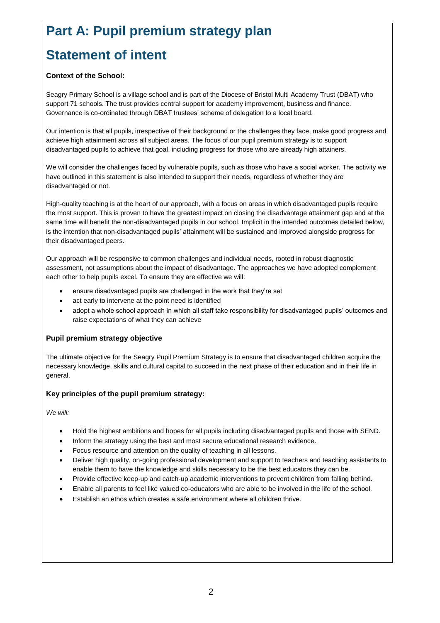# **Part A: Pupil premium strategy plan**

# **Statement of intent**

#### **Context of the School:**

Seagry Primary School is a village school and is part of the Diocese of Bristol Multi Academy Trust (DBAT) who support 71 schools. The trust provides central support for academy improvement, business and finance. Governance is co-ordinated through DBAT trustees' scheme of delegation to a local board.

Our intention is that all pupils, irrespective of their background or the challenges they face, make good progress and achieve high attainment across all subject areas. The focus of our pupil premium strategy is to support disadvantaged pupils to achieve that goal, including progress for those who are already high attainers.

We will consider the challenges faced by vulnerable pupils, such as those who have a social worker. The activity we have outlined in this statement is also intended to support their needs, regardless of whether they are disadvantaged or not.

High-quality teaching is at the heart of our approach, with a focus on areas in which disadvantaged pupils require the most support. This is proven to have the greatest impact on closing the disadvantage attainment gap and at the same time will benefit the non-disadvantaged pupils in our school. Implicit in the intended outcomes detailed below, is the intention that non-disadvantaged pupils' attainment will be sustained and improved alongside progress for their disadvantaged peers.

Our approach will be responsive to common challenges and individual needs, rooted in robust diagnostic assessment, not assumptions about the impact of disadvantage. The approaches we have adopted complement each other to help pupils excel. To ensure they are effective we will:

- ensure disadvantaged pupils are challenged in the work that they're set
- act early to intervene at the point need is identified
- adopt a whole school approach in which all staff take responsibility for disadvantaged pupils' outcomes and raise expectations of what they can achieve

#### **Pupil premium strategy objective**

The ultimate objective for the Seagry Pupil Premium Strategy is to ensure that disadvantaged children acquire the necessary knowledge, skills and cultural capital to succeed in the next phase of their education and in their life in general.

#### **Key principles of the pupil premium strategy:**

*We will:*

- Hold the highest ambitions and hopes for all pupils including disadvantaged pupils and those with SEND.
- Inform the strategy using the best and most secure educational research evidence.
- Focus resource and attention on the quality of teaching in all lessons.
- Deliver high quality, on-going professional development and support to teachers and teaching assistants to enable them to have the knowledge and skills necessary to be the best educators they can be.
- Provide effective keep-up and catch-up academic interventions to prevent children from falling behind.
- Enable all parents to feel like valued co-educators who are able to be involved in the life of the school.
- Establish an ethos which creates a safe environment where all children thrive.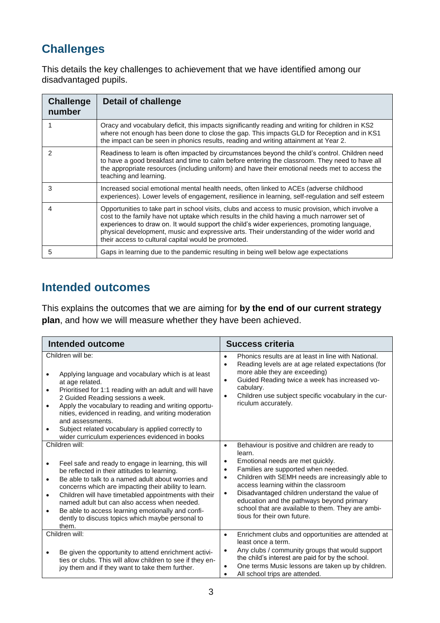## **Challenges**

This details the key challenges to achievement that we have identified among our disadvantaged pupils.

| <b>Challenge</b><br>number | <b>Detail of challenge</b>                                                                                                                                                                                                                                                                                                                                                                                                                            |
|----------------------------|-------------------------------------------------------------------------------------------------------------------------------------------------------------------------------------------------------------------------------------------------------------------------------------------------------------------------------------------------------------------------------------------------------------------------------------------------------|
|                            | Oracy and vocabulary deficit, this impacts significantly reading and writing for children in KS2<br>where not enough has been done to close the gap. This impacts GLD for Reception and in KS1<br>the impact can be seen in phonics results, reading and writing attainment at Year 2.                                                                                                                                                                |
| 2                          | Readiness to learn is often impacted by circumstances beyond the child's control. Children need<br>to have a good breakfast and time to calm before entering the classroom. They need to have all<br>the appropriate resources (including uniform) and have their emotional needs met to access the<br>teaching and learning.                                                                                                                         |
| 3                          | Increased social emotional mental health needs, often linked to ACEs (adverse childhood<br>experiences). Lower levels of engagement, resilience in learning, self-regulation and self esteem                                                                                                                                                                                                                                                          |
| 4                          | Opportunities to take part in school visits, clubs and access to music provision, which involve a<br>cost to the family have not uptake which results in the child having a much narrower set of<br>experiences to draw on. It would support the child's wider experiences, promoting language,<br>physical development, music and expressive arts. Their understanding of the wider world and<br>their access to cultural capital would be promoted. |
| 5                          | Gaps in learning due to the pandemic resulting in being well below age expectations                                                                                                                                                                                                                                                                                                                                                                   |

#### **Intended outcomes**

This explains the outcomes that we are aiming for **by the end of our current strategy plan**, and how we will measure whether they have been achieved.

| <b>Intended outcome</b>                                                                                                                                                                                                                                                                                                                                                                                                                                                                                             | <b>Success criteria</b>                                                                                                                                                                                                                                                                                                                                                                                                                                                               |  |
|---------------------------------------------------------------------------------------------------------------------------------------------------------------------------------------------------------------------------------------------------------------------------------------------------------------------------------------------------------------------------------------------------------------------------------------------------------------------------------------------------------------------|---------------------------------------------------------------------------------------------------------------------------------------------------------------------------------------------------------------------------------------------------------------------------------------------------------------------------------------------------------------------------------------------------------------------------------------------------------------------------------------|--|
| Children will be:<br>Applying language and vocabulary which is at least<br>at age related.<br>Prioritised for 1:1 reading with an adult and will have<br>$\bullet$<br>2 Guided Reading sessions a week.<br>Apply the vocabulary to reading and writing opportu-<br>$\bullet$<br>nities, evidenced in reading, and writing moderation<br>and assessments.<br>Subject related vocabulary is applied correctly to<br>wider curriculum experiences evidenced in books                                                   | Phonics results are at least in line with National.<br>$\bullet$<br>Reading levels are at age related expectations (for<br>$\bullet$<br>more able they are exceeding)<br>Guided Reading twice a week has increased vo-<br>$\bullet$<br>cabulary.<br>Children use subject specific vocabulary in the cur-<br>$\bullet$<br>riculum accurately.                                                                                                                                          |  |
| Children will:<br>Feel safe and ready to engage in learning, this will<br>$\bullet$<br>be reflected in their attitudes to learning.<br>Be able to talk to a named adult about worries and<br>$\bullet$<br>concerns which are impacting their ability to learn.<br>Children will have timetabled appointments with their<br>$\bullet$<br>named adult but can also access when needed.<br>Be able to access learning emotionally and confi-<br>$\bullet$<br>dently to discuss topics which maybe personal to<br>them. | Behaviour is positive and children are ready to<br>$\bullet$<br>learn.<br>Emotional needs are met quickly.<br>$\bullet$<br>Families are supported when needed.<br>$\bullet$<br>Children with SEMH needs are increasingly able to<br>$\bullet$<br>access learning within the classroom<br>Disadvantaged children understand the value of<br>$\bullet$<br>education and the pathways beyond primary<br>school that are available to them. They are ambi-<br>tious for their own future. |  |
| Children will:<br>Be given the opportunity to attend enrichment activi-<br>ties or clubs. This will allow children to see if they en-<br>joy them and if they want to take them further.                                                                                                                                                                                                                                                                                                                            | Enrichment clubs and opportunities are attended at<br>$\bullet$<br>least once a term.<br>Any clubs / community groups that would support<br>the child's interest are paid for by the school.<br>One terms Music lessons are taken up by children.<br>All school trips are attended.                                                                                                                                                                                                   |  |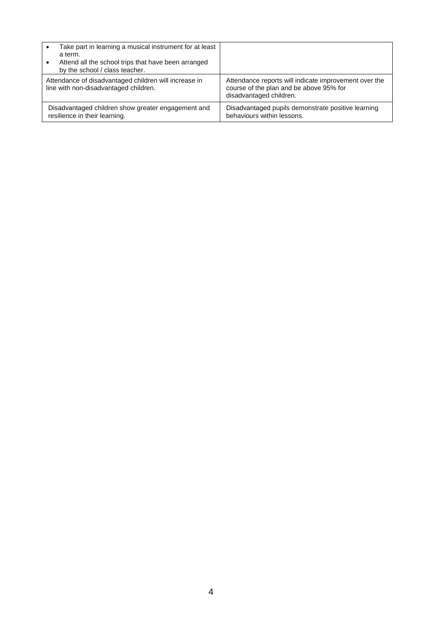| Take part in learning a musical instrument for at least<br>a term.<br>Attend all the school trips that have been arranged<br>by the school / class teacher. |                                                                                                                             |
|-------------------------------------------------------------------------------------------------------------------------------------------------------------|-----------------------------------------------------------------------------------------------------------------------------|
| Attendance of disadvantaged children will increase in<br>line with non-disadvantaged children.                                                              | Attendance reports will indicate improvement over the<br>course of the plan and be above 95% for<br>disadvantaged children. |
| Disadvantaged children show greater engagement and<br>resilience in their learning.                                                                         | Disadvantaged pupils demonstrate positive learning<br>behaviours within lessons.                                            |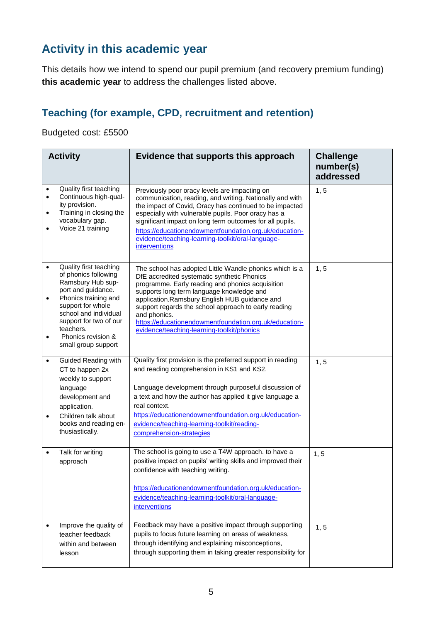## **Activity in this academic year**

This details how we intend to spend our pupil premium (and recovery premium funding) **this academic year** to address the challenges listed above.

### **Teaching (for example, CPD, recruitment and retention)**

Budgeted cost: £5500

|                                                  | <b>Activity</b>                                                                                                                                                                                                                                     | Evidence that supports this approach                                                                                                                                                                                                                                                                                                                                                                                                     | <b>Challenge</b><br>number(s)<br>addressed |
|--------------------------------------------------|-----------------------------------------------------------------------------------------------------------------------------------------------------------------------------------------------------------------------------------------------------|------------------------------------------------------------------------------------------------------------------------------------------------------------------------------------------------------------------------------------------------------------------------------------------------------------------------------------------------------------------------------------------------------------------------------------------|--------------------------------------------|
| $\bullet$<br>$\bullet$<br>$\bullet$<br>$\bullet$ | Quality first teaching<br>Continuous high-qual-<br>ity provision.<br>Training in closing the<br>vocabulary gap.<br>Voice 21 training                                                                                                                | Previously poor oracy levels are impacting on<br>communication, reading, and writing. Nationally and with<br>the impact of Covid, Oracy has continued to be impacted<br>especially with vulnerable pupils. Poor oracy has a<br>significant impact on long term outcomes for all pupils.<br>https://educationendowmentfoundation.org.uk/education-<br>evidence/teaching-learning-toolkit/oral-language-<br><i>interventions</i>           | 1, 5                                       |
| $\bullet$<br>$\bullet$<br>$\bullet$              | Quality first teaching<br>of phonics following<br>Ramsbury Hub sup-<br>port and guidance.<br>Phonics training and<br>support for whole<br>school and individual<br>support for two of our<br>teachers.<br>Phonics revision &<br>small group support | The school has adopted Little Wandle phonics which is a<br>DfE accredited systematic synthetic Phonics<br>programme. Early reading and phonics acquisition<br>supports long term language knowledge and<br>application.Ramsbury English HUB guidance and<br>support regards the school approach to early reading<br>and phonics.<br>https://educationendowmentfoundation.org.uk/education-<br>evidence/teaching-learning-toolkit/phonics | 1, 5                                       |
| $\bullet$<br>$\bullet$                           | <b>Guided Reading with</b><br>CT to happen 2x<br>weekly to support<br>language<br>development and<br>application.<br>Children talk about<br>books and reading en-<br>thusiastically.                                                                | Quality first provision is the preferred support in reading<br>and reading comprehension in KS1 and KS2.<br>Language development through purposeful discussion of<br>a text and how the author has applied it give language a<br>real context.<br>https://educationendowmentfoundation.org.uk/education-<br>evidence/teaching-learning-toolkit/reading-<br>comprehension-strategies                                                      | 1, 5                                       |
| $\bullet$                                        | Talk for writing<br>approach                                                                                                                                                                                                                        | The school is going to use a T4W approach. to have a<br>positive impact on pupils' writing skills and improved their<br>confidence with teaching writing.<br>https://educationendowmentfoundation.org.uk/education-<br>evidence/teaching-learning-toolkit/oral-language-<br><i>interventions</i>                                                                                                                                         | 1, 5                                       |
| $\bullet$                                        | Improve the quality of<br>teacher feedback<br>within and between<br>lesson                                                                                                                                                                          | Feedback may have a positive impact through supporting<br>pupils to focus future learning on areas of weakness,<br>through identifying and explaining misconceptions,<br>through supporting them in taking greater responsibility for                                                                                                                                                                                                    | 1, 5                                       |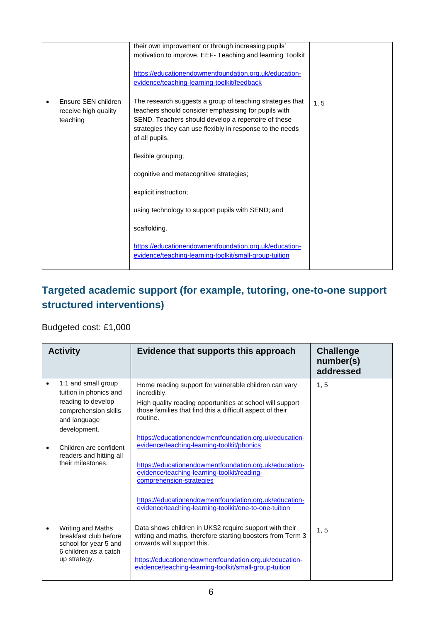|                                                                      | their own improvement or through increasing pupils'<br>motivation to improve. EEF- Teaching and learning Toolkit<br>https://educationendowmentfoundation.org.uk/education-<br>evidence/teaching-learning-toolkit/feedback                                                                                                                                                                                                                                                                                                                  |      |
|----------------------------------------------------------------------|--------------------------------------------------------------------------------------------------------------------------------------------------------------------------------------------------------------------------------------------------------------------------------------------------------------------------------------------------------------------------------------------------------------------------------------------------------------------------------------------------------------------------------------------|------|
| Ensure SEN children<br>$\bullet$<br>receive high quality<br>teaching | The research suggests a group of teaching strategies that<br>teachers should consider emphasising for pupils with<br>SEND. Teachers should develop a repertoire of these<br>strategies they can use flexibly in response to the needs<br>of all pupils.<br>flexible grouping;<br>cognitive and metacognitive strategies;<br>explicit instruction;<br>using technology to support pupils with SEND; and<br>scaffolding.<br>https://educationendowmentfoundation.org.uk/education-<br>evidence/teaching-learning-toolkit/small-group-tuition | 1, 5 |

### **Targeted academic support (for example, tutoring, one-to-one support structured interventions)**

#### Budgeted cost: £1,000

| <b>Activity</b>                                                                                                                                                                                       | Evidence that supports this approach                                                                                                                                                                                                                                                                                                                                         | <b>Challenge</b><br>number(s)<br>addressed |
|-------------------------------------------------------------------------------------------------------------------------------------------------------------------------------------------------------|------------------------------------------------------------------------------------------------------------------------------------------------------------------------------------------------------------------------------------------------------------------------------------------------------------------------------------------------------------------------------|--------------------------------------------|
| 1:1 and small group<br>tuition in phonics and<br>reading to develop<br>comprehension skills<br>and language<br>development.<br>Children are confident<br>readers and hitting all<br>their milestones. | Home reading support for vulnerable children can vary<br>incredibly.<br>High quality reading opportunities at school will support<br>those families that find this a difficult aspect of their<br>routine.<br>https://educationendowmentfoundation.org.uk/education-<br>evidence/teaching-learning-toolkit/phonics<br>https://educationendowmentfoundation.org.uk/education- | 1, 5                                       |
|                                                                                                                                                                                                       | evidence/teaching-learning-toolkit/reading-<br>comprehension-strategies<br>https://educationendowmentfoundation.org.uk/education-<br>evidence/teaching-learning-toolkit/one-to-one-tuition                                                                                                                                                                                   |                                            |
| Writing and Maths<br>breakfast club before<br>school for year 5 and<br>6 children as a catch<br>up strategy.                                                                                          | Data shows children in UKS2 require support with their<br>writing and maths, therefore starting boosters from Term 3<br>onwards will support this.<br>https://educationendowmentfoundation.org.uk/education-<br>evidence/teaching-learning-toolkit/small-group-tuition                                                                                                       | 1, 5                                       |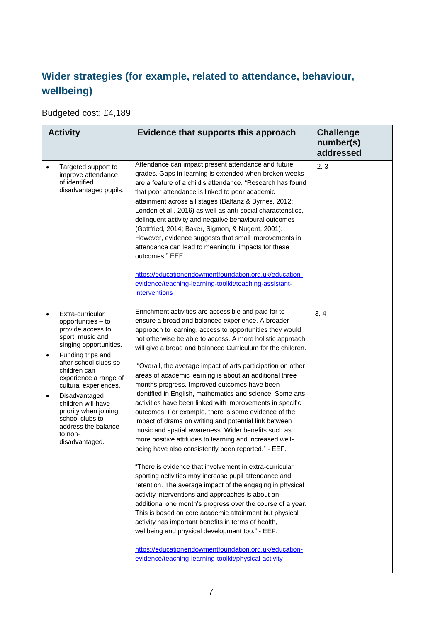## **Wider strategies (for example, related to attendance, behaviour, wellbeing)**

Budgeted cost: £4,189

|                        | <b>Activity</b>                                                                                                                                                                                                                                                                                                                                                  | Evidence that supports this approach                                                                                                                                                                                                                                                                                                                                                                                                                                                                                                                                                                                                                                                                                                                                                                                                                                                                                                                                                                                                                                                                                                                                                                                                                                                                                                                                    | <b>Challenge</b><br>number(s)<br>addressed |
|------------------------|------------------------------------------------------------------------------------------------------------------------------------------------------------------------------------------------------------------------------------------------------------------------------------------------------------------------------------------------------------------|-------------------------------------------------------------------------------------------------------------------------------------------------------------------------------------------------------------------------------------------------------------------------------------------------------------------------------------------------------------------------------------------------------------------------------------------------------------------------------------------------------------------------------------------------------------------------------------------------------------------------------------------------------------------------------------------------------------------------------------------------------------------------------------------------------------------------------------------------------------------------------------------------------------------------------------------------------------------------------------------------------------------------------------------------------------------------------------------------------------------------------------------------------------------------------------------------------------------------------------------------------------------------------------------------------------------------------------------------------------------------|--------------------------------------------|
|                        | Targeted support to<br>improve attendance<br>of identified<br>disadvantaged pupils.                                                                                                                                                                                                                                                                              | Attendance can impact present attendance and future<br>grades. Gaps in learning is extended when broken weeks<br>are a feature of a child's attendance. "Research has found<br>that poor attendance is linked to poor academic<br>attainment across all stages (Balfanz & Byrnes, 2012;<br>London et al., 2016) as well as anti-social characteristics,<br>delinquent activity and negative behavioural outcomes<br>(Gottfried, 2014; Baker, Sigmon, & Nugent, 2001).<br>However, evidence suggests that small improvements in<br>attendance can lead to meaningful impacts for these<br>outcomes." EEF<br>https://educationendowmentfoundation.org.uk/education-<br>evidence/teaching-learning-toolkit/teaching-assistant-<br><i>interventions</i>                                                                                                                                                                                                                                                                                                                                                                                                                                                                                                                                                                                                                     | 2, 3                                       |
| $\bullet$<br>$\bullet$ | Extra-curricular<br>opportunities – to<br>provide access to<br>sport, music and<br>singing opportunities.<br>Funding trips and<br>after school clubs so<br>children can<br>experience a range of<br>cultural experiences.<br>Disadvantaged<br>children will have<br>priority when joining<br>school clubs to<br>address the balance<br>to non-<br>disadvantaged. | Enrichment activities are accessible and paid for to<br>ensure a broad and balanced experience. A broader<br>approach to learning, access to opportunities they would<br>not otherwise be able to access. A more holistic approach<br>will give a broad and balanced Curriculum for the children.<br>"Overall, the average impact of arts participation on other<br>areas of academic learning is about an additional three<br>months progress. Improved outcomes have been<br>identified in English, mathematics and science. Some arts<br>activities have been linked with improvements in specific<br>outcomes. For example, there is some evidence of the<br>impact of drama on writing and potential link between<br>music and spatial awareness. Wider benefits such as<br>more positive attitudes to learning and increased well-<br>being have also consistently been reported." - EEF.<br>"There is evidence that involvement in extra-curricular<br>sporting activities may increase pupil attendance and<br>retention. The average impact of the engaging in physical<br>activity interventions and approaches is about an<br>additional one month's progress over the course of a year.<br>This is based on core academic attainment but physical<br>activity has important benefits in terms of health,<br>wellbeing and physical development too." - EEF. | 3, 4                                       |
|                        |                                                                                                                                                                                                                                                                                                                                                                  | https://educationendowmentfoundation.org.uk/education-<br>evidence/teaching-learning-toolkit/physical-activity                                                                                                                                                                                                                                                                                                                                                                                                                                                                                                                                                                                                                                                                                                                                                                                                                                                                                                                                                                                                                                                                                                                                                                                                                                                          |                                            |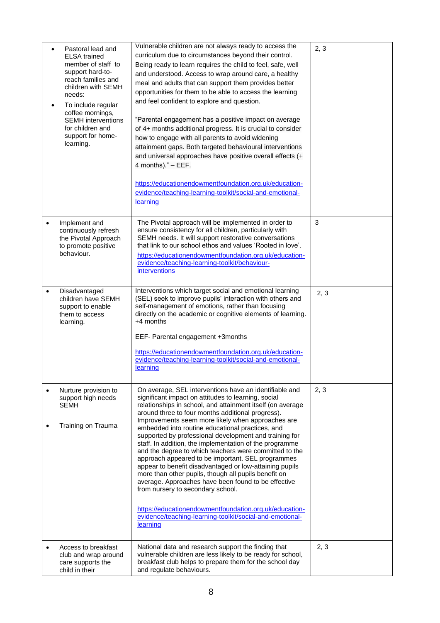| $\bullet$<br>$\bullet$ | Pastoral lead and<br><b>ELSA</b> trained<br>member of staff to<br>support hard-to-<br>reach families and<br>children with SEMH<br>needs:<br>To include regular<br>coffee mornings,<br><b>SEMH</b> interventions<br>for children and<br>support for home-<br>learning. | Vulnerable children are not always ready to access the<br>curriculum due to circumstances beyond their control.<br>Being ready to learn requires the child to feel, safe, well<br>and understood. Access to wrap around care, a healthy<br>meal and adults that can support them provides better<br>opportunities for them to be able to access the learning<br>and feel confident to explore and question.<br>"Parental engagement has a positive impact on average<br>of 4+ months additional progress. It is crucial to consider<br>how to engage with all parents to avoid widening<br>attainment gaps. Both targeted behavioural interventions<br>and universal approaches have positive overall effects (+<br>4 months)." - EEF.<br>https://educationendowmentfoundation.org.uk/education-<br>evidence/teaching-learning-toolkit/social-and-emotional-<br>learning                                                       | 2, 3 |
|------------------------|-----------------------------------------------------------------------------------------------------------------------------------------------------------------------------------------------------------------------------------------------------------------------|--------------------------------------------------------------------------------------------------------------------------------------------------------------------------------------------------------------------------------------------------------------------------------------------------------------------------------------------------------------------------------------------------------------------------------------------------------------------------------------------------------------------------------------------------------------------------------------------------------------------------------------------------------------------------------------------------------------------------------------------------------------------------------------------------------------------------------------------------------------------------------------------------------------------------------|------|
| $\bullet$              | Implement and<br>continuously refresh<br>the Pivotal Approach<br>to promote positive<br>behaviour.                                                                                                                                                                    | The Pivotal approach will be implemented in order to<br>ensure consistency for all children, particularly with<br>SEMH needs. It will support restorative conversations<br>that link to our school ethos and values 'Rooted in love'.<br>https://educationendowmentfoundation.org.uk/education-<br>evidence/teaching-learning-toolkit/behaviour-<br><i>interventions</i>                                                                                                                                                                                                                                                                                                                                                                                                                                                                                                                                                       | 3    |
| $\bullet$              | Disadvantaged<br>children have SEMH<br>support to enable<br>them to access<br>learning.                                                                                                                                                                               | Interventions which target social and emotional learning<br>(SEL) seek to improve pupils' interaction with others and<br>self-management of emotions, rather than focusing<br>directly on the academic or cognitive elements of learning.<br>+4 months<br>EEF- Parental engagement +3months<br>https://educationendowmentfoundation.org.uk/education-<br>evidence/teaching-learning-toolkit/social-and-emotional-<br>learning                                                                                                                                                                                                                                                                                                                                                                                                                                                                                                  | 2, 3 |
| $\bullet$              | Nurture provision to<br>support high needs<br><b>SEMH</b><br>Training on Trauma                                                                                                                                                                                       | On average, SEL interventions have an identifiable and<br>significant impact on attitudes to learning, social<br>relationships in school, and attainment itself (on average<br>around three to four months additional progress).<br>Improvements seem more likely when approaches are<br>embedded into routine educational practices, and<br>supported by professional development and training for<br>staff. In addition, the implementation of the programme<br>and the degree to which teachers were committed to the<br>approach appeared to be important. SEL programmes<br>appear to benefit disadvantaged or low-attaining pupils<br>more than other pupils, though all pupils benefit on<br>average. Approaches have been found to be effective<br>from nursery to secondary school.<br>https://educationendowmentfoundation.org.uk/education-<br>evidence/teaching-learning-toolkit/social-and-emotional-<br>learning | 2, 3 |
| $\bullet$              | Access to breakfast<br>club and wrap around<br>care supports the<br>child in their                                                                                                                                                                                    | National data and research support the finding that<br>vulnerable children are less likely to be ready for school,<br>breakfast club helps to prepare them for the school day<br>and regulate behaviours.                                                                                                                                                                                                                                                                                                                                                                                                                                                                                                                                                                                                                                                                                                                      | 2, 3 |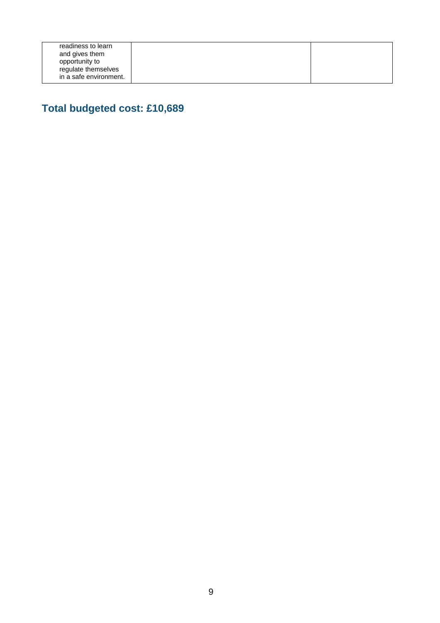## **Total budgeted cost: £10,689**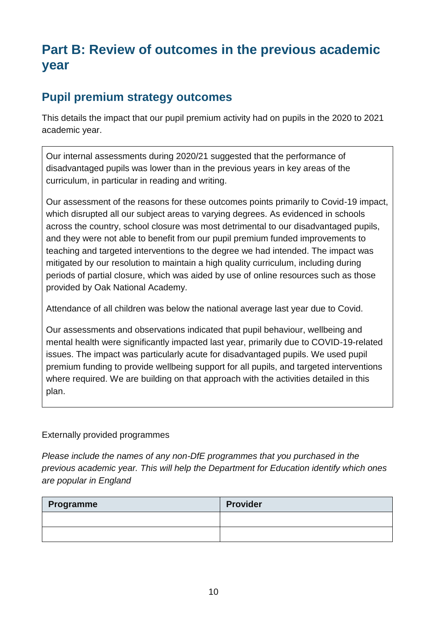# **Part B: Review of outcomes in the previous academic year**

#### **Pupil premium strategy outcomes**

This details the impact that our pupil premium activity had on pupils in the 2020 to 2021 academic year.

Our internal assessments during 2020/21 suggested that the performance of disadvantaged pupils was lower than in the previous years in key areas of the curriculum, in particular in reading and writing.

Our assessment of the reasons for these outcomes points primarily to Covid-19 impact, which disrupted all our subject areas to varying degrees. As evidenced in schools across the country, school closure was most detrimental to our disadvantaged pupils, and they were not able to benefit from our pupil premium funded improvements to teaching and targeted interventions to the degree we had intended. The impact was mitigated by our resolution to maintain a high quality curriculum, including during periods of partial closure, which was aided by use of online resources such as those provided by Oak National Academy.

Attendance of all children was below the national average last year due to Covid.

Our assessments and observations indicated that pupil behaviour, wellbeing and mental health were significantly impacted last year, primarily due to COVID-19-related issues. The impact was particularly acute for disadvantaged pupils. We used pupil premium funding to provide wellbeing support for all pupils, and targeted interventions where required. We are building on that approach with the activities detailed in this plan.

#### Externally provided programmes

*Please include the names of any non-DfE programmes that you purchased in the previous academic year. This will help the Department for Education identify which ones are popular in England*

| Programme | <b>Provider</b> |
|-----------|-----------------|
|           |                 |
|           |                 |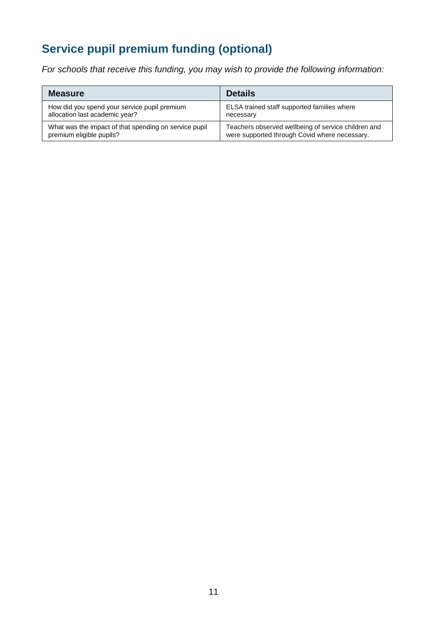# **Service pupil premium funding (optional)**

*For schools that receive this funding, you may wish to provide the following information:* 

| <b>Measure</b>                                        | <b>Details</b>                                      |
|-------------------------------------------------------|-----------------------------------------------------|
| How did you spend your service pupil premium          | ELSA trained staff supported families where         |
| allocation last academic year?                        | necessary                                           |
| What was the impact of that spending on service pupil | Teachers observed wellbeing of service children and |
| premium eligible pupils?                              | were supported through Covid where necessary.       |